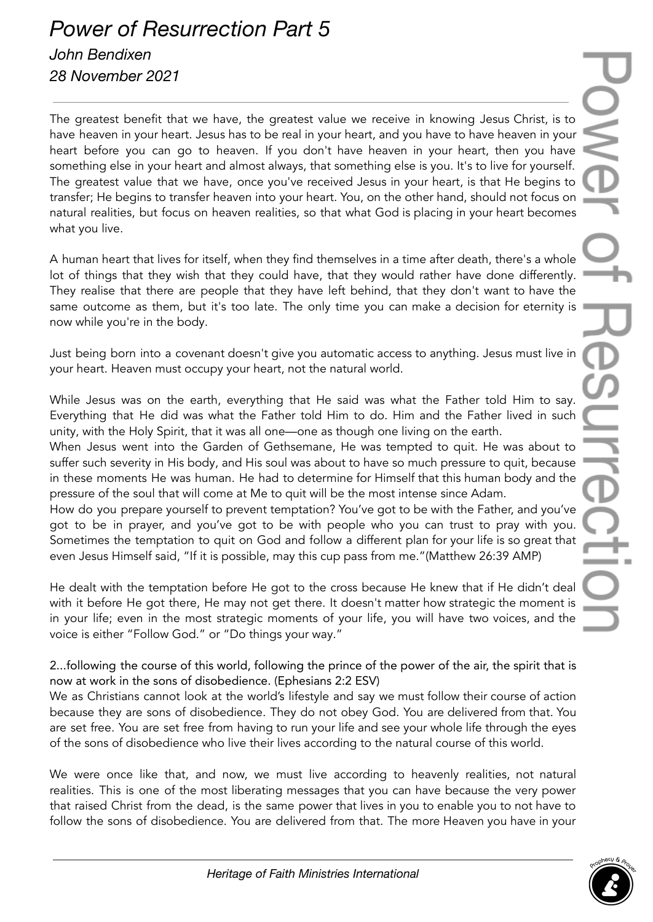## *Power of Resurrection Part 5 John Bendixen*

*28 November 2021*

The greatest benefit that we have, the greatest value we receive in knowing Jesus Christ, is to have heaven in your heart. Jesus has to be real in your heart, and you have to have heaven in your heart before you can go to heaven. If you don't have heaven in your heart, then you have something else in your heart and almost always, that something else is you. It's to live for yourself. The greatest value that we have, once you've received Jesus in your heart, is that He begins to transfer; He begins to transfer heaven into your heart. You, on the other hand, should not focus on natural realities, but focus on heaven realities, so that what God is placing in your heart becomes what you live.

A human heart that lives for itself, when they find themselves in a time after death, there's a whole lot of things that they wish that they could have, that they would rather have done differently. They realise that there are people that they have left behind, that they don't want to have the same outcome as them, but it's too late. The only time you can make a decision for eternity is now while you're in the body.

Just being born into a covenant doesn't give you automatic access to anything. Jesus must live in your heart. Heaven must occupy your heart, not the natural world.

While Jesus was on the earth, everything that He said was what the Father told Him to say. Everything that He did was what the Father told Him to do. Him and the Father lived in such unity, with the Holy Spirit, that it was all one—one as though one living on the earth.

When Jesus went into the Garden of Gethsemane, He was tempted to quit. He was about to suffer such severity in His body, and His soul was about to have so much pressure to quit, because in these moments He was human. He had to determine for Himself that this human body and the pressure of the soul that will come at Me to quit will be the most intense since Adam.

How do you prepare yourself to prevent temptation? You've got to be with the Father, and you've got to be in prayer, and you've got to be with people who you can trust to pray with you. Sometimes the temptation to quit on God and follow a different plan for your life is so great that even Jesus Himself said, "If it is possible, may this cup pass from me."(Matthew 26:39 AMP)

He dealt with the temptation before He got to the cross because He knew that if He didn't deal with it before He got there, He may not get there. It doesn't matter how strategic the moment is in your life; even in the most strategic moments of your life, you will have two voices, and the voice is either "Follow God." or "Do things your way."

2...following the course of this world, following the prince of the power of the air, the spirit that is now at work in the sons of disobedience. (Ephesians 2:2 ESV)

We as Christians cannot look at the world's lifestyle and say we must follow their course of action because they are sons of disobedience. They do not obey God. You are delivered from that. You are set free. You are set free from having to run your life and see your whole life through the eyes of the sons of disobedience who live their lives according to the natural course of this world.

We were once like that, and now, we must live according to heavenly realities, not natural realities. This is one of the most liberating messages that you can have because the very power that raised Christ from the dead, is the same power that lives in you to enable you to not have to follow the sons of disobedience. You are delivered from that. The more Heaven you have in your